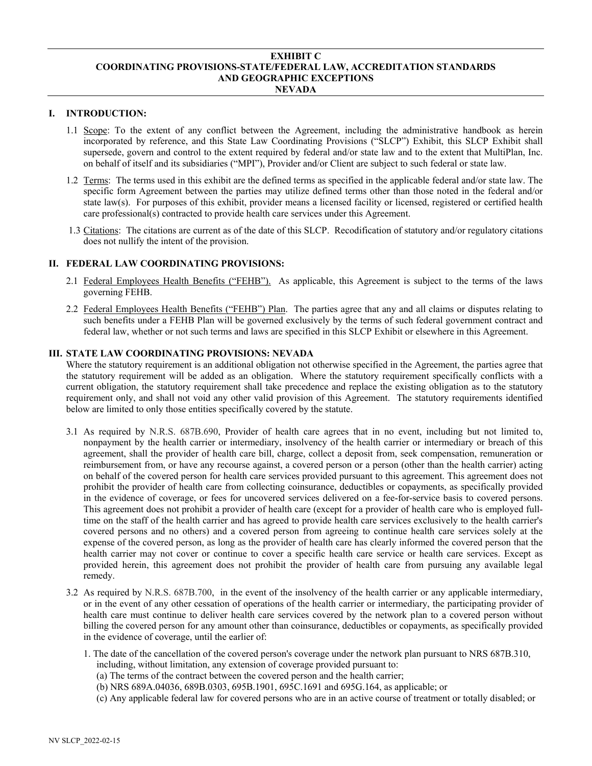#### **EXHIBIT C COORDINATING PROVISIONS-STATE/FEDERAL LAW, ACCREDITATION STANDARDS AND GEOGRAPHIC EXCEPTIONS NEVADA**

## **I. INTRODUCTION:**

- 1.1 Scope: To the extent of any conflict between the Agreement, including the administrative handbook as herein incorporated by reference, and this State Law Coordinating Provisions ("SLCP") Exhibit, this SLCP Exhibit shall supersede, govern and control to the extent required by federal and/or state law and to the extent that MultiPlan, Inc. on behalf of itself and its subsidiaries ("MPI"), Provider and/or Client are subject to such federal or state law.
- 1.2 Terms: The terms used in this exhibit are the defined terms as specified in the applicable federal and/or state law. The specific form Agreement between the parties may utilize defined terms other than those noted in the federal and/or state law(s). For purposes of this exhibit, provider means a licensed facility or licensed, registered or certified health care professional(s) contracted to provide health care services under this Agreement.
- 1.3 Citations: The citations are current as of the date of this SLCP. Recodification of statutory and/or regulatory citations does not nullify the intent of the provision.

### **II. FEDERAL LAW COORDINATING PROVISIONS:**

- 2.1 Federal Employees Health Benefits ("FEHB"). As applicable, this Agreement is subject to the terms of the laws governing FEHB.
- 2.2 Federal Employees Health Benefits ("FEHB") Plan. The parties agree that any and all claims or disputes relating to such benefits under a FEHB Plan will be governed exclusively by the terms of such federal government contract and federal law, whether or not such terms and laws are specified in this SLCP Exhibit or elsewhere in this Agreement.

## **III. STATE LAW COORDINATING PROVISIONS: NEVADA**

Where the statutory requirement is an additional obligation not otherwise specified in the Agreement, the parties agree that the statutory requirement will be added as an obligation. Where the statutory requirement specifically conflicts with a current obligation, the statutory requirement shall take precedence and replace the existing obligation as to the statutory requirement only, and shall not void any other valid provision of this Agreement. The statutory requirements identified below are limited to only those entities specifically covered by the statute.

- 3.1 As required by N.R.S. 687B.690, Provider of health care agrees that in no event, including but not limited to, nonpayment by the health carrier or intermediary, insolvency of the health carrier or intermediary or breach of this agreement, shall the provider of health care bill, charge, collect a deposit from, seek compensation, remuneration or reimbursement from, or have any recourse against, a covered person or a person (other than the health carrier) acting on behalf of the covered person for health care services provided pursuant to this agreement. This agreement does not prohibit the provider of health care from collecting coinsurance, deductibles or copayments, as specifically provided in the evidence of coverage, or fees for uncovered services delivered on a fee-for-service basis to covered persons. This agreement does not prohibit a provider of health care (except for a provider of health care who is employed fulltime on the staff of the health carrier and has agreed to provide health care services exclusively to the health carrier's covered persons and no others) and a covered person from agreeing to continue health care services solely at the expense of the covered person, as long as the provider of health care has clearly informed the covered person that the health carrier may not cover or continue to cover a specific health care service or health care services. Except as provided herein, this agreement does not prohibit the provider of health care from pursuing any available legal remedy.
- 3.2 As required by N.R.S. 687B.700, in the event of the insolvency of the health carrier or any applicable intermediary, or in the event of any other cessation of operations of the health carrier or intermediary, the participating provider of health care must continue to deliver health care services covered by the network plan to a covered person without billing the covered person for any amount other than coinsurance, deductibles or copayments, as specifically provided in the evidence of coverage, until the earlier of:
	- 1. The date of the cancellation of the covered person's coverage under the network plan pursuant to NRS 687B.310, including, without limitation, any extension of coverage provided pursuant to:
		- (a) The terms of the contract between the covered person and the health carrier;
		- (b) NRS 689A.04036, 689B.0303, 695B.1901, 695C.1691 and 695G.164, as applicable; or
		- (c) Any applicable federal law for covered persons who are in an active course of treatment or totally disabled; or